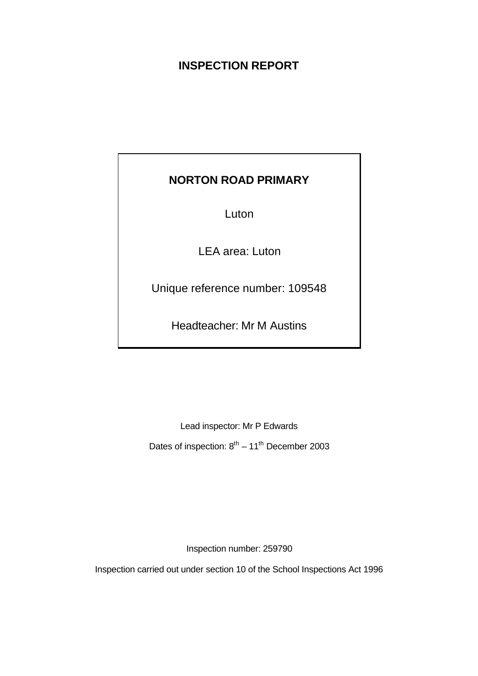# **INSPECTION REPORT**

# **NORTON ROAD PRIMARY**

Luton

LEA area: Luton

Unique reference number: 109548

Headteacher: Mr M Austins

Lead inspector: Mr P Edwards Dates of inspection:  $8^{th} - 11^{th}$  December 2003

Inspection number: 259790

Inspection carried out under section 10 of the School Inspections Act 1996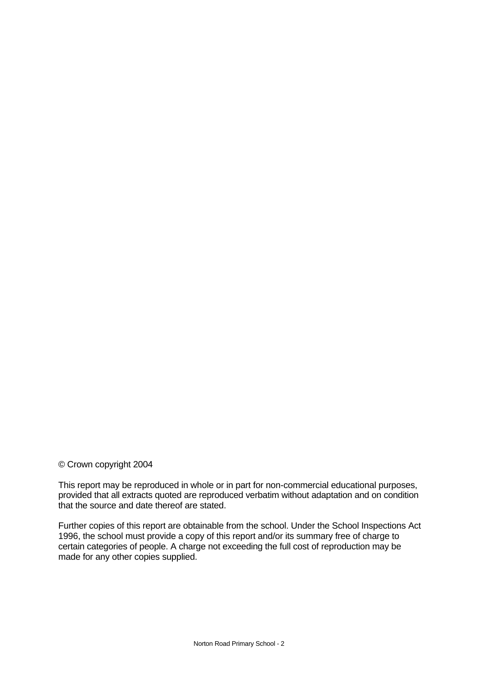## © Crown copyright 2004

This report may be reproduced in whole or in part for non-commercial educational purposes, provided that all extracts quoted are reproduced verbatim without adaptation and on condition that the source and date thereof are stated.

Further copies of this report are obtainable from the school. Under the School Inspections Act 1996, the school must provide a copy of this report and/or its summary free of charge to certain categories of people. A charge not exceeding the full cost of reproduction may be made for any other copies supplied.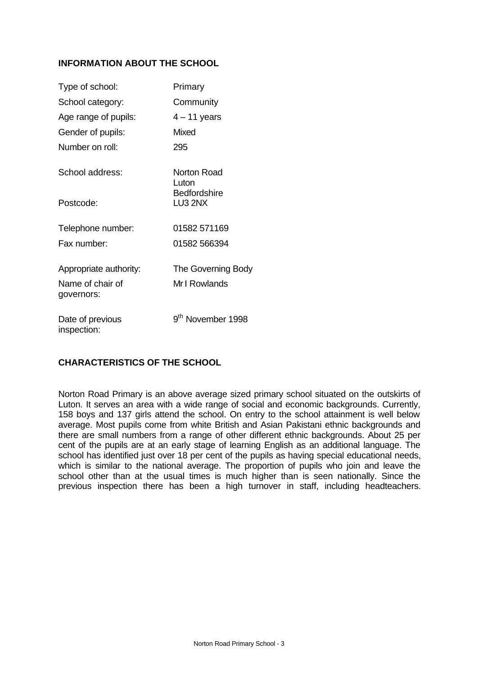## **INFORMATION ABOUT THE SCHOOL**

| Type of school:                 | Primary                       |
|---------------------------------|-------------------------------|
| School category:                | Community                     |
| Age range of pupils:            | $4 - 11$ years                |
| Gender of pupils:               | <b>Mixed</b>                  |
| Number on roll:                 | 295                           |
| School address:                 | Norton Road<br>Luton          |
| Postcode:                       | Bedfordshire<br>LU3 2NX       |
| Telephone number:               | 01582 571169                  |
| Fax number                      | 01582 566394                  |
| Appropriate authority:          | The Governing Body            |
| Name of chair of<br>governors:  | Mr I Rowlands                 |
| Date of previous<br>inspection: | 9 <sup>th</sup> November 1998 |

## **CHARACTERISTICS OF THE SCHOOL**

Norton Road Primary is an above average sized primary school situated on the outskirts of Luton. It serves an area with a wide range of social and economic backgrounds. Currently, 158 boys and 137 girls attend the school. On entry to the school attainment is well below average. Most pupils come from white British and Asian Pakistani ethnic backgrounds and there are small numbers from a range of other different ethnic backgrounds. About 25 per cent of the pupils are at an early stage of learning English as an additional language. The school has identified just over 18 per cent of the pupils as having special educational needs, which is similar to the national average. The proportion of pupils who join and leave the school other than at the usual times is much higher than is seen nationally. Since the previous inspection there has been a high turnover in staff, including headteachers.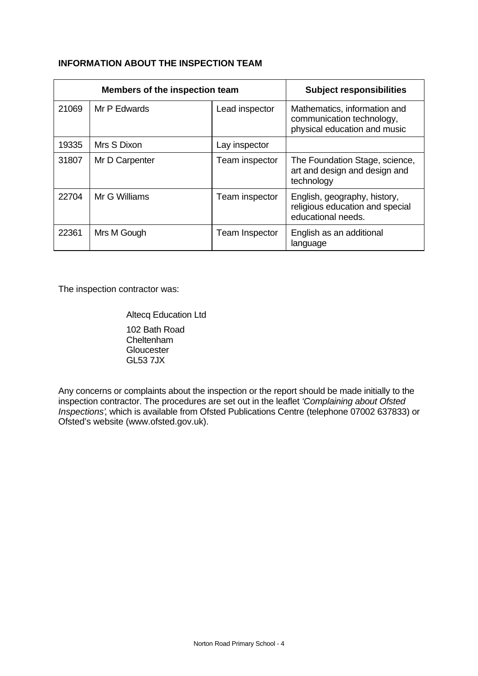## **INFORMATION ABOUT THE INSPECTION TEAM**

| Members of the inspection team |                | <b>Subject responsibilities</b> |                                                                                           |
|--------------------------------|----------------|---------------------------------|-------------------------------------------------------------------------------------------|
| 21069                          | Mr P Edwards   | Lead inspector                  | Mathematics, information and<br>communication technology,<br>physical education and music |
| 19335                          | Mrs S Dixon    | Lay inspector                   |                                                                                           |
| 31807                          | Mr D Carpenter | Team inspector                  | The Foundation Stage, science,<br>art and design and design and<br>technology             |
| 22704                          | Mr G Williams  | Team inspector                  | English, geography, history,<br>religious education and special<br>educational needs.     |
| 22361                          | Mrs M Gough    | <b>Team Inspector</b>           | English as an additional<br>language                                                      |

The inspection contractor was:

Altecq Education Ltd 102 Bath Road **Cheltenham Gloucester** GL53 7JX

Any concerns or complaints about the inspection or the report should be made initially to the inspection contractor. The procedures are set out in the leaflet *'Complaining about Ofsted Inspections'*, which is available from Ofsted Publications Centre (telephone 07002 637833) or Ofsted's website (www.ofsted.gov.uk).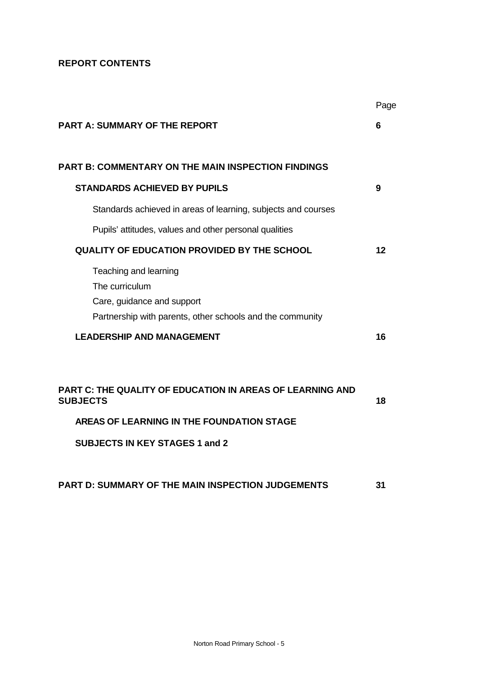**REPORT CONTENTS**

|                                                                                                                                    | Page |
|------------------------------------------------------------------------------------------------------------------------------------|------|
| <b>PART A: SUMMARY OF THE REPORT</b>                                                                                               | 6    |
|                                                                                                                                    |      |
| <b>PART B: COMMENTARY ON THE MAIN INSPECTION FINDINGS</b>                                                                          |      |
| <b>STANDARDS ACHIEVED BY PUPILS</b>                                                                                                | 9    |
| Standards achieved in areas of learning, subjects and courses                                                                      |      |
| Pupils' attitudes, values and other personal qualities                                                                             |      |
| <b>QUALITY OF EDUCATION PROVIDED BY THE SCHOOL</b>                                                                                 | 12   |
| Teaching and learning<br>The curriculum<br>Care, guidance and support<br>Partnership with parents, other schools and the community |      |
| <b>LEADERSHIP AND MANAGEMENT</b>                                                                                                   | 16   |
|                                                                                                                                    |      |
| <b>PART C: THE QUALITY OF EDUCATION IN AREAS OF LEARNING AND</b><br><b>SUBJECTS</b>                                                | 18   |
| AREAS OF LEARNING IN THE FOUNDATION STAGE                                                                                          |      |
| <b>SUBJECTS IN KEY STAGES 1 and 2</b>                                                                                              |      |
|                                                                                                                                    |      |
| <b>PART D: SUMMARY OF THE MAIN INSPECTION JUDGEMENTS</b>                                                                           | 31   |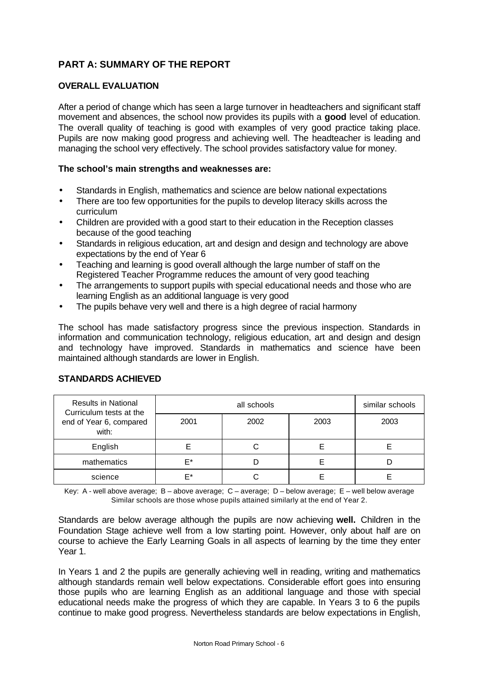## **PART A: SUMMARY OF THE REPORT**

## **OVERALL EVALUATION**

After a period of change which has seen a large turnover in headteachers and significant staff movement and absences, the school now provides its pupils with a **good** level of education. The overall quality of teaching is good with examples of very good practice taking place. Pupils are now making good progress and achieving well. The headteacher is leading and managing the school very effectively. The school provides satisfactory value for money.

## **The school's main strengths and weaknesses are:**

- Standards in English, mathematics and science are below national expectations
- There are too few opportunities for the pupils to develop literacy skills across the curriculum
- Children are provided with a good start to their education in the Reception classes because of the good teaching
- Standards in religious education, art and design and design and technology are above expectations by the end of Year 6
- Teaching and learning is good overall although the large number of staff on the Registered Teacher Programme reduces the amount of very good teaching
- The arrangements to support pupils with special educational needs and those who are learning English as an additional language is very good
- The pupils behave very well and there is a high degree of racial harmony

The school has made satisfactory progress since the previous inspection. Standards in information and communication technology, religious education, art and design and design and technology have improved. Standards in mathematics and science have been maintained although standards are lower in English.

| <b>Results in National</b><br>Curriculum tests at the |      | similar schools |      |      |
|-------------------------------------------------------|------|-----------------|------|------|
| end of Year 6, compared<br>with:                      | 2001 | 2002            | 2003 | 2003 |
| English                                               |      |                 |      |      |
| mathematics                                           | F*   |                 |      |      |
| science                                               | F*   |                 |      |      |

## **STANDARDS ACHIEVED**

Key: A - well above average; B – above average; C – average; D – below average; E – well below average Similar schools are those whose pupils attained similarly at the end of Year 2.

Standards are below average although the pupils are now achieving **well.** Children in the Foundation Stage achieve well from a low starting point. However, only about half are on course to achieve the Early Learning Goals in all aspects of learning by the time they enter Year 1.

In Years 1 and 2 the pupils are generally achieving well in reading, writing and mathematics although standards remain well below expectations. Considerable effort goes into ensuring those pupils who are learning English as an additional language and those with special educational needs make the progress of which they are capable. In Years 3 to 6 the pupils continue to make good progress. Nevertheless standards are below expectations in English,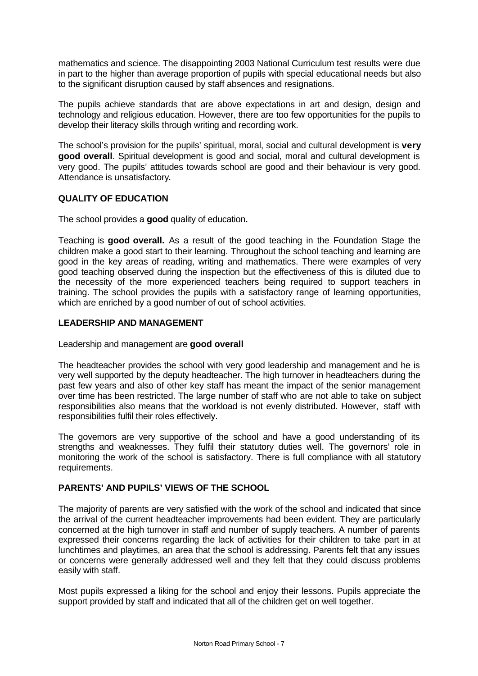mathematics and science. The disappointing 2003 National Curriculum test results were due in part to the higher than average proportion of pupils with special educational needs but also to the significant disruption caused by staff absences and resignations.

The pupils achieve standards that are above expectations in art and design, design and technology and religious education. However, there are too few opportunities for the pupils to develop their literacy skills through writing and recording work.

The school's provision for the pupils' spiritual, moral, social and cultural development is **very good overall**. Spiritual development is good and social, moral and cultural development is very good. The pupils' attitudes towards school are good and their behaviour is very good. Attendance is unsatisfactory**.**

## **QUALITY OF EDUCATION**

The school provides a **good** quality of education**.**

Teaching is **good overall.** As a result of the good teaching in the Foundation Stage the children make a good start to their learning. Throughout the school teaching and learning are good in the key areas of reading, writing and mathematics. There were examples of very good teaching observed during the inspection but the effectiveness of this is diluted due to the necessity of the more experienced teachers being required to support teachers in training. The school provides the pupils with a satisfactory range of learning opportunities, which are enriched by a good number of out of school activities.

## **LEADERSHIP AND MANAGEMENT**

Leadership and management are **good overall**

The headteacher provides the school with very good leadership and management and he is very well supported by the deputy headteacher. The high turnover in headteachers during the past few years and also of other key staff has meant the impact of the senior management over time has been restricted. The large number of staff who are not able to take on subject responsibilities also means that the workload is not evenly distributed. However, staff with responsibilities fulfil their roles effectively.

The governors are very supportive of the school and have a good understanding of its strengths and weaknesses. They fulfil their statutory duties well. The governors' role in monitoring the work of the school is satisfactory. There is full compliance with all statutory requirements.

## **PARENTS' AND PUPILS' VIEWS OF THE SCHOOL**

The majority of parents are very satisfied with the work of the school and indicated that since the arrival of the current headteacher improvements had been evident. They are particularly concerned at the high turnover in staff and number of supply teachers. A number of parents expressed their concerns regarding the lack of activities for their children to take part in at lunchtimes and playtimes, an area that the school is addressing. Parents felt that any issues or concerns were generally addressed well and they felt that they could discuss problems easily with staff.

Most pupils expressed a liking for the school and enjoy their lessons. Pupils appreciate the support provided by staff and indicated that all of the children get on well together.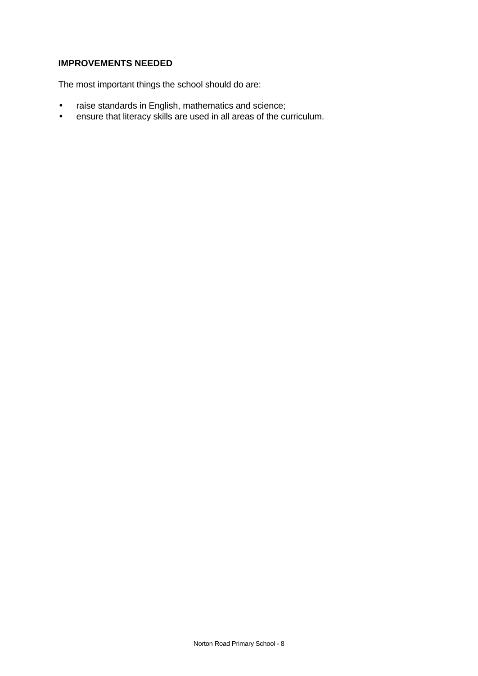## **IMPROVEMENTS NEEDED**

The most important things the school should do are:

- raise standards in English, mathematics and science;
- ensure that literacy skills are used in all areas of the curriculum.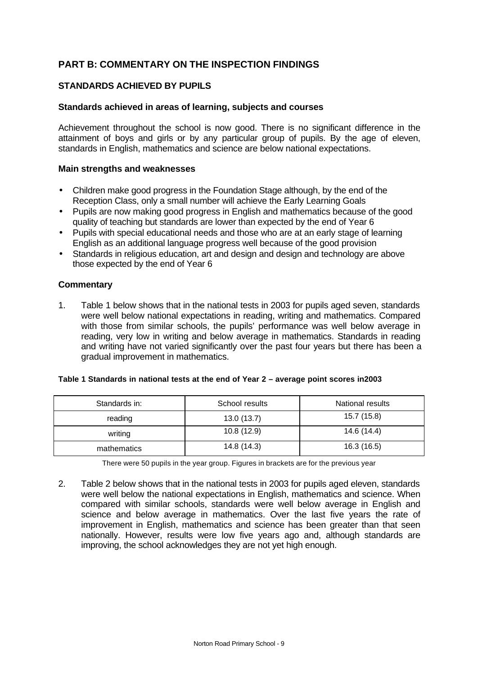## **PART B: COMMENTARY ON THE INSPECTION FINDINGS**

## **STANDARDS ACHIEVED BY PUPILS**

#### **Standards achieved in areas of learning, subjects and courses**

Achievement throughout the school is now good. There is no significant difference in the attainment of boys and girls or by any particular group of pupils. By the age of eleven, standards in English, mathematics and science are below national expectations.

#### **Main strengths and weaknesses**

- Children make good progress in the Foundation Stage although, by the end of the Reception Class, only a small number will achieve the Early Learning Goals
- Pupils are now making good progress in English and mathematics because of the good quality of teaching but standards are lower than expected by the end of Year 6
- Pupils with special educational needs and those who are at an early stage of learning English as an additional language progress well because of the good provision
- Standards in religious education, art and design and design and technology are above those expected by the end of Year 6

## **Commentary**

1. Table 1 below shows that in the national tests in 2003 for pupils aged seven, standards were well below national expectations in reading, writing and mathematics. Compared with those from similar schools, the pupils' performance was well below average in reading, very low in writing and below average in mathematics. Standards in reading and writing have not varied significantly over the past four years but there has been a gradual improvement in mathematics.

|  |  |  | Table 1 Standards in national tests at the end of Year 2 - average point scores in 2003 |  |
|--|--|--|-----------------------------------------------------------------------------------------|--|
|--|--|--|-----------------------------------------------------------------------------------------|--|

| Standards in: | School results | National results |
|---------------|----------------|------------------|
| reading       | 13.0(13.7)     | 15.7 (15.8)      |
| writing       | 10.8(12.9)     | 14.6 (14.4)      |
| mathematics   | 14.8 (14.3)    | 16.3 (16.5)      |

There were 50 pupils in the year group. Figures in brackets are for the previous year

2. Table 2 below shows that in the national tests in 2003 for pupils aged eleven, standards were well below the national expectations in English, mathematics and science. When compared with similar schools, standards were well below average in English and science and below average in mathematics. Over the last five years the rate of improvement in English, mathematics and science has been greater than that seen nationally. However, results were low five years ago and, although standards are improving, the school acknowledges they are not yet high enough.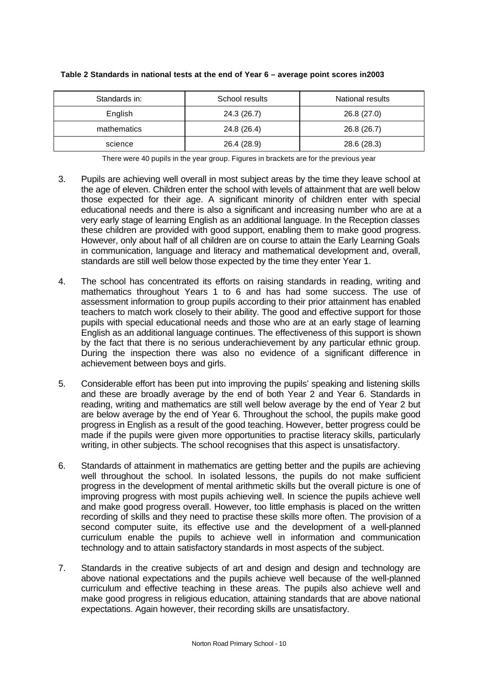| Standards in: | School results | National results |
|---------------|----------------|------------------|
| English       | 24.3 (26.7)    | 26.8 (27.0)      |
| mathematics   | 24.8 (26.4)    | 26.8 (26.7)      |
| science       | 26.4 (28.9)    | 28.6 (28.3)      |

#### **Table 2 Standards in national tests at the end of Year 6 – average point scores in2003**

There were 40 pupils in the year group. Figures in brackets are for the previous year

- 3. Pupils are achieving well overall in most subject areas by the time they leave school at the age of eleven. Children enter the school with levels of attainment that are well below those expected for their age. A significant minority of children enter with special educational needs and there is also a significant and increasing number who are at a very early stage of learning English as an additional language. In the Reception classes these children are provided with good support, enabling them to make good progress. However, only about half of all children are on course to attain the Early Learning Goals in communication, language and literacy and mathematical development and, overall, standards are still well below those expected by the time they enter Year 1.
- 4. The school has concentrated its efforts on raising standards in reading, writing and mathematics throughout Years 1 to 6 and has had some success. The use of assessment information to group pupils according to their prior attainment has enabled teachers to match work closely to their ability. The good and effective support for those pupils with special educational needs and those who are at an early stage of learning English as an additional language continues. The effectiveness of this support is shown by the fact that there is no serious underachievement by any particular ethnic group. During the inspection there was also no evidence of a significant difference in achievement between boys and girls.
- 5. Considerable effort has been put into improving the pupils' speaking and listening skills and these are broadly average by the end of both Year 2 and Year 6. Standards in reading, writing and mathematics are still well below average by the end of Year 2 but are below average by the end of Year 6. Throughout the school, the pupils make good progress in English as a result of the good teaching. However, better progress could be made if the pupils were given more opportunities to practise literacy skills, particularly writing, in other subjects. The school recognises that this aspect is unsatisfactory.
- 6. Standards of attainment in mathematics are getting better and the pupils are achieving well throughout the school. In isolated lessons, the pupils do not make sufficient progress in the development of mental arithmetic skills but the overall picture is one of improving progress with most pupils achieving well. In science the pupils achieve well and make good progress overall. However, too little emphasis is placed on the written recording of skills and they need to practise these skills more often. The provision of a second computer suite, its effective use and the development of a well-planned curriculum enable the pupils to achieve well in information and communication technology and to attain satisfactory standards in most aspects of the subject.
- 7. Standards in the creative subjects of art and design and design and technology are above national expectations and the pupils achieve well because of the well-planned curriculum and effective teaching in these areas. The pupils also achieve well and make good progress in religious education, attaining standards that are above national expectations. Again however, their recording skills are unsatisfactory.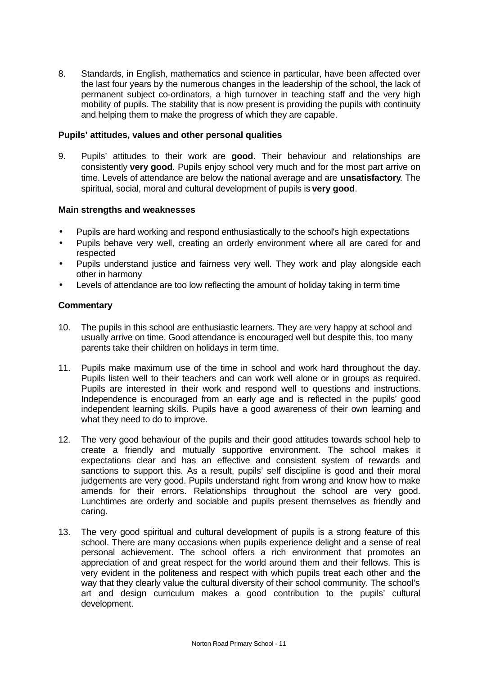8. Standards, in English, mathematics and science in particular, have been affected over the last four years by the numerous changes in the leadership of the school, the lack of permanent subject co-ordinators, a high turnover in teaching staff and the very high mobility of pupils. The stability that is now present is providing the pupils with continuity and helping them to make the progress of which they are capable.

#### **Pupils' attitudes, values and other personal qualities**

9. Pupils' attitudes to their work are **good**. Their behaviour and relationships are consistently **very good**. Pupils enjoy school very much and for the most part arrive on time. Levels of attendance are below the national average and are **unsatisfactory**. The spiritual, social, moral and cultural development of pupils is **very good**.

#### **Main strengths and weaknesses**

- Pupils are hard working and respond enthusiastically to the school's high expectations
- Pupils behave very well, creating an orderly environment where all are cared for and respected
- Pupils understand justice and fairness very well. They work and play alongside each other in harmony
- Levels of attendance are too low reflecting the amount of holiday taking in term time

- 10. The pupils in this school are enthusiastic learners. They are very happy at school and usually arrive on time. Good attendance is encouraged well but despite this, too many parents take their children on holidays in term time.
- 11. Pupils make maximum use of the time in school and work hard throughout the day. Pupils listen well to their teachers and can work well alone or in groups as required. Pupils are interested in their work and respond well to questions and instructions. Independence is encouraged from an early age and is reflected in the pupils' good independent learning skills. Pupils have a good awareness of their own learning and what they need to do to improve.
- 12. The very good behaviour of the pupils and their good attitudes towards school help to create a friendly and mutually supportive environment. The school makes it expectations clear and has an effective and consistent system of rewards and sanctions to support this. As a result, pupils' self discipline is good and their moral judgements are very good. Pupils understand right from wrong and know how to make amends for their errors. Relationships throughout the school are very good. Lunchtimes are orderly and sociable and pupils present themselves as friendly and caring.
- 13. The very good spiritual and cultural development of pupils is a strong feature of this school. There are many occasions when pupils experience delight and a sense of real personal achievement. The school offers a rich environment that promotes an appreciation of and great respect for the world around them and their fellows. This is very evident in the politeness and respect with which pupils treat each other and the way that they clearly value the cultural diversity of their school community. The school's art and design curriculum makes a good contribution to the pupils' cultural development.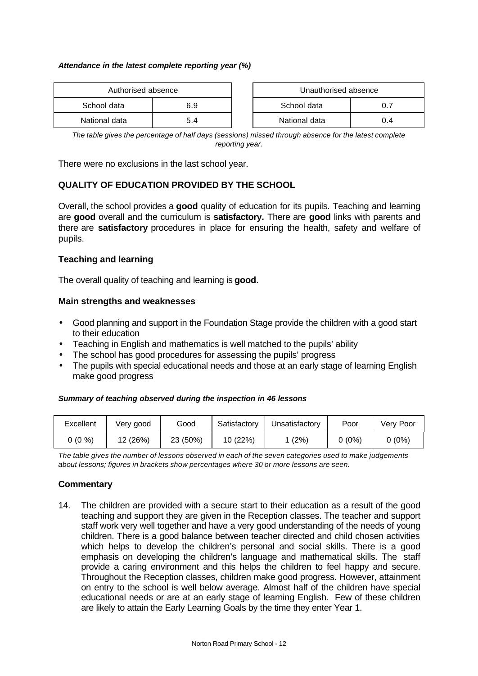#### *Attendance in the latest complete reporting year (%)*

| Authorised absence<br>School data<br>6.9 |     |  |               |     | Unauthorised absence |  |
|------------------------------------------|-----|--|---------------|-----|----------------------|--|
|                                          |     |  | School data   |     |                      |  |
| National data                            | 5.4 |  | National data | ).4 |                      |  |

| Authorised absence |     | Unauthorised absence |     |  |
|--------------------|-----|----------------------|-----|--|
| data               | 6.9 | School data          | 0.7 |  |
| data               | 5.4 | National data        | 0.4 |  |

*The table gives the percentage of half days (sessions) missed through absence for the latest complete reporting year.*

There were no exclusions in the last school year.

## **QUALITY OF EDUCATION PROVIDED BY THE SCHOOL**

Overall, the school provides a **good** quality of education for its pupils. Teaching and learning are **good** overall and the curriculum is **satisfactory.** There are **good** links with parents and there are **satisfactory** procedures in place for ensuring the health, safety and welfare of pupils.

## **Teaching and learning**

The overall quality of teaching and learning is **good**.

#### **Main strengths and weaknesses**

- Good planning and support in the Foundation Stage provide the children with a good start to their education
- Teaching in English and mathematics is well matched to the pupils' ability
- The school has good procedures for assessing the pupils' progress
- The pupils with special educational needs and those at an early stage of learning English make good progress

#### *Summary of teaching observed during the inspection in 46 lessons*

| Excellent | Very good | Good     | Satisfactory | Unsatisfactorv | Poor     | Verv Poor |
|-----------|-----------|----------|--------------|----------------|----------|-----------|
| 0 (0 %)   | 12 (26%)  | 23 (50%) | 10 (22%)     | (2%)           | $0(0\%)$ | 0 (0%)    |

*The table gives the number of lessons observed in each of the seven categories used to make judgements about lessons; figures in brackets show percentages where 30 or more lessons are seen.*

## **Commentary**

14. The children are provided with a secure start to their education as a result of the good teaching and support they are given in the Reception classes. The teacher and support staff work very well together and have a very good understanding of the needs of young children. There is a good balance between teacher directed and child chosen activities which helps to develop the children's personal and social skills. There is a good emphasis on developing the children's language and mathematical skills. The staff provide a caring environment and this helps the children to feel happy and secure. Throughout the Reception classes, children make good progress. However, attainment on entry to the school is well below average. Almost half of the children have special educational needs or are at an early stage of learning English. Few of these children are likely to attain the Early Learning Goals by the time they enter Year 1.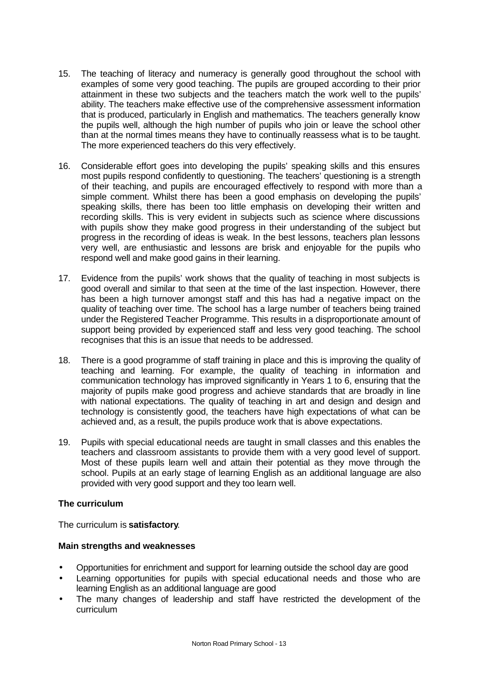- 15. The teaching of literacy and numeracy is generally good throughout the school with examples of some very good teaching. The pupils are grouped according to their prior attainment in these two subjects and the teachers match the work well to the pupils' ability. The teachers make effective use of the comprehensive assessment information that is produced, particularly in English and mathematics. The teachers generally know the pupils well, although the high number of pupils who join or leave the school other than at the normal times means they have to continually reassess what is to be taught. The more experienced teachers do this very effectively.
- 16. Considerable effort goes into developing the pupils' speaking skills and this ensures most pupils respond confidently to questioning. The teachers' questioning is a strength of their teaching, and pupils are encouraged effectively to respond with more than a simple comment. Whilst there has been a good emphasis on developing the pupils' speaking skills, there has been too little emphasis on developing their written and recording skills. This is very evident in subjects such as science where discussions with pupils show they make good progress in their understanding of the subject but progress in the recording of ideas is weak. In the best lessons, teachers plan lessons very well, are enthusiastic and lessons are brisk and enjoyable for the pupils who respond well and make good gains in their learning.
- 17. Evidence from the pupils' work shows that the quality of teaching in most subjects is good overall and similar to that seen at the time of the last inspection. However, there has been a high turnover amongst staff and this has had a negative impact on the quality of teaching over time. The school has a large number of teachers being trained under the Registered Teacher Programme. This results in a disproportionate amount of support being provided by experienced staff and less very good teaching. The school recognises that this is an issue that needs to be addressed.
- 18. There is a good programme of staff training in place and this is improving the quality of teaching and learning. For example, the quality of teaching in information and communication technology has improved significantly in Years 1 to 6, ensuring that the majority of pupils make good progress and achieve standards that are broadly in line with national expectations. The quality of teaching in art and design and design and technology is consistently good, the teachers have high expectations of what can be achieved and, as a result, the pupils produce work that is above expectations.
- 19. Pupils with special educational needs are taught in small classes and this enables the teachers and classroom assistants to provide them with a very good level of support. Most of these pupils learn well and attain their potential as they move through the school. Pupils at an early stage of learning English as an additional language are also provided with very good support and they too learn well.

## **The curriculum**

The curriculum is **satisfactory**.

## **Main strengths and weaknesses**

- Opportunities for enrichment and support for learning outside the school day are good
- Learning opportunities for pupils with special educational needs and those who are learning English as an additional language are good
- The many changes of leadership and staff have restricted the development of the curriculum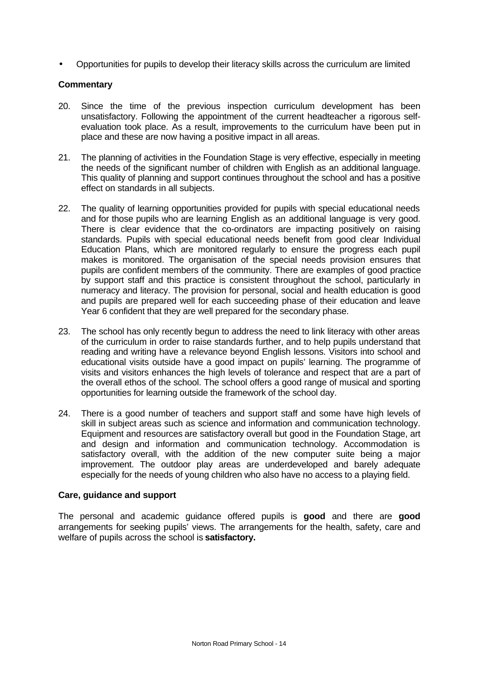• Opportunities for pupils to develop their literacy skills across the curriculum are limited

#### **Commentary**

- 20. Since the time of the previous inspection curriculum development has been unsatisfactory. Following the appointment of the current headteacher a rigorous selfevaluation took place. As a result, improvements to the curriculum have been put in place and these are now having a positive impact in all areas.
- 21. The planning of activities in the Foundation Stage is very effective, especially in meeting the needs of the significant number of children with English as an additional language. This quality of planning and support continues throughout the school and has a positive effect on standards in all subjects.
- 22. The quality of learning opportunities provided for pupils with special educational needs and for those pupils who are learning English as an additional language is very good. There is clear evidence that the co-ordinators are impacting positively on raising standards. Pupils with special educational needs benefit from good clear Individual Education Plans, which are monitored regularly to ensure the progress each pupil makes is monitored. The organisation of the special needs provision ensures that pupils are confident members of the community. There are examples of good practice by support staff and this practice is consistent throughout the school, particularly in numeracy and literacy. The provision for personal, social and health education is good and pupils are prepared well for each succeeding phase of their education and leave Year 6 confident that they are well prepared for the secondary phase.
- 23. The school has only recently begun to address the need to link literacy with other areas of the curriculum in order to raise standards further, and to help pupils understand that reading and writing have a relevance beyond English lessons. Visitors into school and educational visits outside have a good impact on pupils' learning. The programme of visits and visitors enhances the high levels of tolerance and respect that are a part of the overall ethos of the school. The school offers a good range of musical and sporting opportunities for learning outside the framework of the school day.
- 24. There is a good number of teachers and support staff and some have high levels of skill in subject areas such as science and information and communication technology. Equipment and resources are satisfactory overall but good in the Foundation Stage, art and design and information and communication technology. Accommodation is satisfactory overall, with the addition of the new computer suite being a major improvement. The outdoor play areas are underdeveloped and barely adequate especially for the needs of young children who also have no access to a playing field.

#### **Care, guidance and support**

The personal and academic guidance offered pupils is **good** and there are **good** arrangements for seeking pupils' views. The arrangements for the health, safety, care and welfare of pupils across the school is **satisfactory.**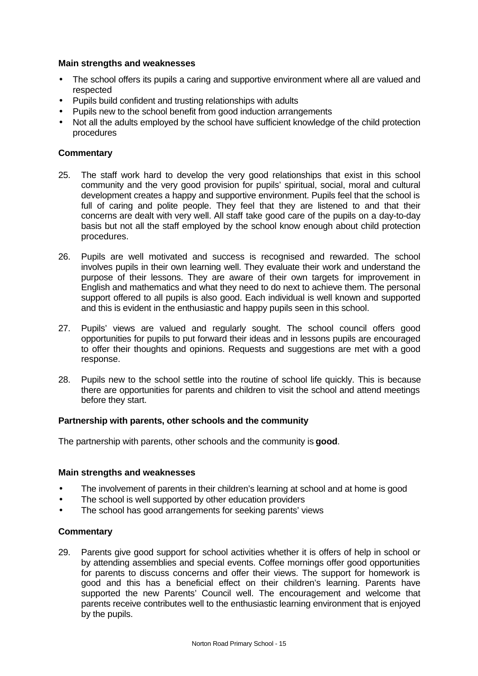## **Main strengths and weaknesses**

- The school offers its pupils a caring and supportive environment where all are valued and respected
- Pupils build confident and trusting relationships with adults
- Pupils new to the school benefit from good induction arrangements
- Not all the adults employed by the school have sufficient knowledge of the child protection procedures

## **Commentary**

- 25. The staff work hard to develop the very good relationships that exist in this school community and the very good provision for pupils' spiritual, social, moral and cultural development creates a happy and supportive environment. Pupils feel that the school is full of caring and polite people. They feel that they are listened to and that their concerns are dealt with very well. All staff take good care of the pupils on a day-to-day basis but not all the staff employed by the school know enough about child protection procedures.
- 26. Pupils are well motivated and success is recognised and rewarded. The school involves pupils in their own learning well. They evaluate their work and understand the purpose of their lessons. They are aware of their own targets for improvement in English and mathematics and what they need to do next to achieve them. The personal support offered to all pupils is also good. Each individual is well known and supported and this is evident in the enthusiastic and happy pupils seen in this school.
- 27. Pupils' views are valued and regularly sought. The school council offers good opportunities for pupils to put forward their ideas and in lessons pupils are encouraged to offer their thoughts and opinions. Requests and suggestions are met with a good response.
- 28. Pupils new to the school settle into the routine of school life quickly. This is because there are opportunities for parents and children to visit the school and attend meetings before they start.

## **Partnership with parents, other schools and the community**

The partnership with parents, other schools and the community is **good**.

#### **Main strengths and weaknesses**

- The involvement of parents in their children's learning at school and at home is good
- The school is well supported by other education providers
- The school has good arrangements for seeking parents' views

#### **Commentary**

29. Parents give good support for school activities whether it is offers of help in school or by attending assemblies and special events. Coffee mornings offer good opportunities for parents to discuss concerns and offer their views. The support for homework is good and this has a beneficial effect on their children's learning. Parents have supported the new Parents' Council well. The encouragement and welcome that parents receive contributes well to the enthusiastic learning environment that is enjoyed by the pupils.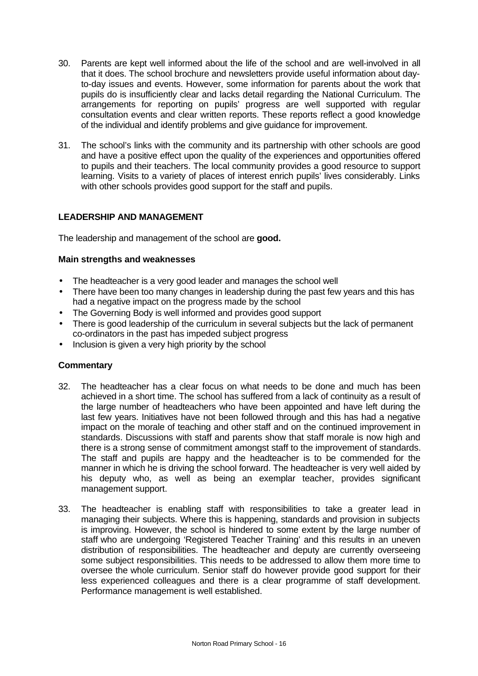- 30. Parents are kept well informed about the life of the school and are well-involved in all that it does. The school brochure and newsletters provide useful information about dayto-day issues and events. However, some information for parents about the work that pupils do is insufficiently clear and lacks detail regarding the National Curriculum. The arrangements for reporting on pupils' progress are well supported with regular consultation events and clear written reports. These reports reflect a good knowledge of the individual and identify problems and give guidance for improvement.
- 31. The school's links with the community and its partnership with other schools are good and have a positive effect upon the quality of the experiences and opportunities offered to pupils and their teachers. The local community provides a good resource to support learning. Visits to a variety of places of interest enrich pupils' lives considerably. Links with other schools provides good support for the staff and pupils.

## **LEADERSHIP AND MANAGEMENT**

The leadership and management of the school are **good.**

## **Main strengths and weaknesses**

- The headteacher is a very good leader and manages the school well
- There have been too many changes in leadership during the past few years and this has had a negative impact on the progress made by the school
- The Governing Body is well informed and provides good support
- There is good leadership of the curriculum in several subjects but the lack of permanent co-ordinators in the past has impeded subject progress
- Inclusion is given a very high priority by the school

- 32. The headteacher has a clear focus on what needs to be done and much has been achieved in a short time. The school has suffered from a lack of continuity as a result of the large number of headteachers who have been appointed and have left during the last few years. Initiatives have not been followed through and this has had a negative impact on the morale of teaching and other staff and on the continued improvement in standards. Discussions with staff and parents show that staff morale is now high and there is a strong sense of commitment amongst staff to the improvement of standards. The staff and pupils are happy and the headteacher is to be commended for the manner in which he is driving the school forward. The headteacher is very well aided by his deputy who, as well as being an exemplar teacher, provides significant management support.
- 33. The headteacher is enabling staff with responsibilities to take a greater lead in managing their subjects. Where this is happening, standards and provision in subjects is improving. However, the school is hindered to some extent by the large number of staff who are undergoing 'Registered Teacher Training' and this results in an uneven distribution of responsibilities. The headteacher and deputy are currently overseeing some subject responsibilities. This needs to be addressed to allow them more time to oversee the whole curriculum. Senior staff do however provide good support for their less experienced colleagues and there is a clear programme of staff development. Performance management is well established.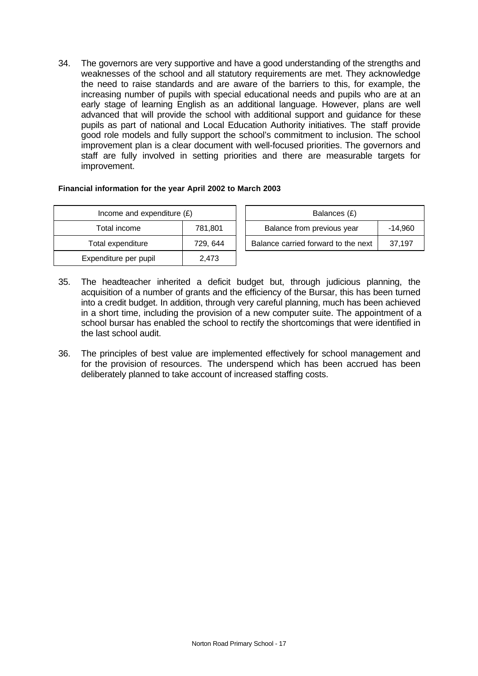34. The governors are very supportive and have a good understanding of the strengths and weaknesses of the school and all statutory requirements are met. They acknowledge the need to raise standards and are aware of the barriers to this, for example, the increasing number of pupils with special educational needs and pupils who are at an early stage of learning English as an additional language. However, plans are well advanced that will provide the school with additional support and guidance for these pupils as part of national and Local Education Authority initiatives. The staff provide good role models and fully support the school's commitment to inclusion. The school improvement plan is a clear document with well-focused priorities. The governors and staff are fully involved in setting priorities and there are measurable targets for improvement.

#### **Financial information for the year April 2002 to March 2003**

| Income and expenditure $(E)$ |          |  | Balances (£)                   |
|------------------------------|----------|--|--------------------------------|
| Total income<br>781,801      |          |  | Balance from previous yea      |
| Total expenditure            | 729, 644 |  | Balance carried forward to the |
| Expenditure per pupil        | 2.473    |  |                                |

| Income and expenditure $(E)$ |         | Balances (£)                          |        |
|------------------------------|---------|---------------------------------------|--------|
| Total income                 | 781.801 | Balance from previous year<br>-14.960 |        |
| Total expenditure            | 729.644 | Balance carried forward to the next   | 37.197 |

- 35. The headteacher inherited a deficit budget but, through judicious planning, the acquisition of a number of grants and the efficiency of the Bursar, this has been turned into a credit budget. In addition, through very careful planning, much has been achieved in a short time, including the provision of a new computer suite. The appointment of a school bursar has enabled the school to rectify the shortcomings that were identified in the last school audit.
- 36. The principles of best value are implemented effectively for school management and for the provision of resources. The underspend which has been accrued has been deliberately planned to take account of increased staffing costs.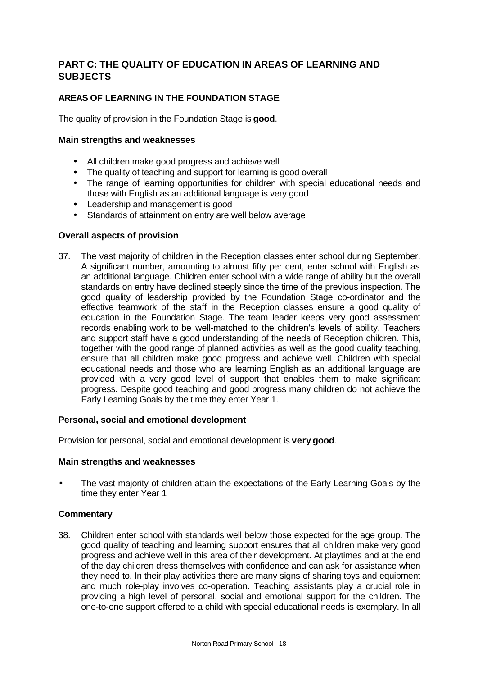## **PART C: THE QUALITY OF EDUCATION IN AREAS OF LEARNING AND SUBJECTS**

## **AREAS OF LEARNING IN THE FOUNDATION STAGE**

The quality of provision in the Foundation Stage is **good**.

## **Main strengths and weaknesses**

- All children make good progress and achieve well
- The quality of teaching and support for learning is good overall
- The range of learning opportunities for children with special educational needs and those with English as an additional language is very good
- Leadership and management is good
- Standards of attainment on entry are well below average

## **Overall aspects of provision**

37. The vast majority of children in the Reception classes enter school during September. A significant number, amounting to almost fifty per cent, enter school with English as an additional language. Children enter school with a wide range of ability but the overall standards on entry have declined steeply since the time of the previous inspection. The good quality of leadership provided by the Foundation Stage co-ordinator and the effective teamwork of the staff in the Reception classes ensure a good quality of education in the Foundation Stage. The team leader keeps very good assessment records enabling work to be well-matched to the children's levels of ability. Teachers and support staff have a good understanding of the needs of Reception children. This, together with the good range of planned activities as well as the good quality teaching, ensure that all children make good progress and achieve well. Children with special educational needs and those who are learning English as an additional language are provided with a very good level of support that enables them to make significant progress. Despite good teaching and good progress many children do not achieve the Early Learning Goals by the time they enter Year 1.

## **Personal, social and emotional development**

Provision for personal, social and emotional development is **very good**.

## **Main strengths and weaknesses**

The vast majority of children attain the expectations of the Early Learning Goals by the time they enter Year 1

## **Commentary**

38. Children enter school with standards well below those expected for the age group. The good quality of teaching and learning support ensures that all children make very good progress and achieve well in this area of their development. At playtimes and at the end of the day children dress themselves with confidence and can ask for assistance when they need to. In their play activities there are many signs of sharing toys and equipment and much role-play involves co-operation. Teaching assistants play a crucial role in providing a high level of personal, social and emotional support for the children. The one-to-one support offered to a child with special educational needs is exemplary. In all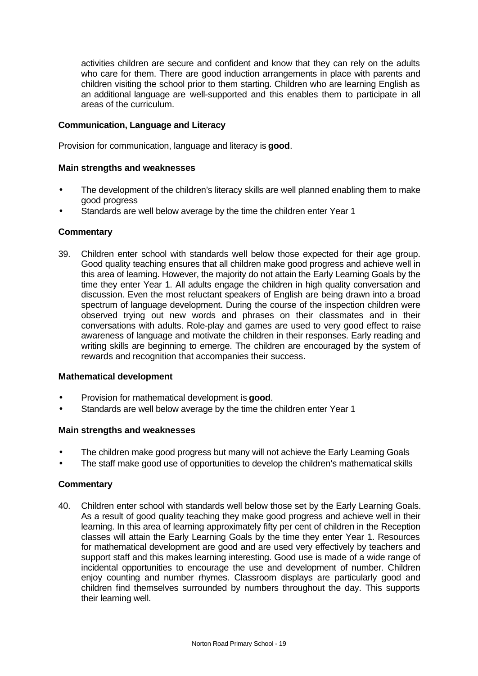activities children are secure and confident and know that they can rely on the adults who care for them. There are good induction arrangements in place with parents and children visiting the school prior to them starting. Children who are learning English as an additional language are well-supported and this enables them to participate in all areas of the curriculum.

## **Communication, Language and Literacy**

Provision for communication, language and literacy is **good**.

#### **Main strengths and weaknesses**

- The development of the children's literacy skills are well planned enabling them to make good progress
- Standards are well below average by the time the children enter Year 1

#### **Commentary**

39. Children enter school with standards well below those expected for their age group. Good quality teaching ensures that all children make good progress and achieve well in this area of learning. However, the majority do not attain the Early Learning Goals by the time they enter Year 1. All adults engage the children in high quality conversation and discussion. Even the most reluctant speakers of English are being drawn into a broad spectrum of language development. During the course of the inspection children were observed trying out new words and phrases on their classmates and in their conversations with adults. Role-play and games are used to very good effect to raise awareness of language and motivate the children in their responses. Early reading and writing skills are beginning to emerge. The children are encouraged by the system of rewards and recognition that accompanies their success.

## **Mathematical development**

- Provision for mathematical development is **good**.
- Standards are well below average by the time the children enter Year 1

#### **Main strengths and weaknesses**

- The children make good progress but many will not achieve the Early Learning Goals
- The staff make good use of opportunities to develop the children's mathematical skills

## **Commentary**

40. Children enter school with standards well below those set by the Early Learning Goals. As a result of good quality teaching they make good progress and achieve well in their learning. In this area of learning approximately fifty per cent of children in the Reception classes will attain the Early Learning Goals by the time they enter Year 1. Resources for mathematical development are good and are used very effectively by teachers and support staff and this makes learning interesting. Good use is made of a wide range of incidental opportunities to encourage the use and development of number. Children enjoy counting and number rhymes. Classroom displays are particularly good and children find themselves surrounded by numbers throughout the day. This supports their learning well.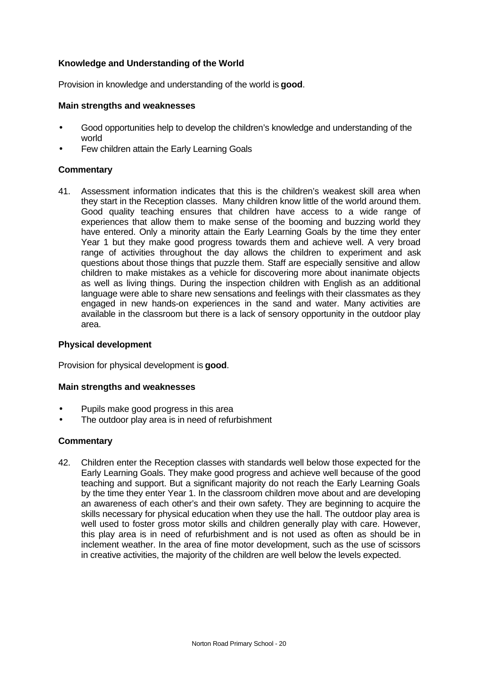## **Knowledge and Understanding of the World**

Provision in knowledge and understanding of the world is **good**.

#### **Main strengths and weaknesses**

- Good opportunities help to develop the children's knowledge and understanding of the world
- Few children attain the Early Learning Goals

#### **Commentary**

41. Assessment information indicates that this is the children's weakest skill area when they start in the Reception classes. Many children know little of the world around them. Good quality teaching ensures that children have access to a wide range of experiences that allow them to make sense of the booming and buzzing world they have entered. Only a minority attain the Early Learning Goals by the time they enter Year 1 but they make good progress towards them and achieve well. A very broad range of activities throughout the day allows the children to experiment and ask questions about those things that puzzle them. Staff are especially sensitive and allow children to make mistakes as a vehicle for discovering more about inanimate objects as well as living things. During the inspection children with English as an additional language were able to share new sensations and feelings with their classmates as they engaged in new hands-on experiences in the sand and water. Many activities are available in the classroom but there is a lack of sensory opportunity in the outdoor play area.

#### **Physical development**

Provision for physical development is **good**.

#### **Main strengths and weaknesses**

- Pupils make good progress in this area
- The outdoor play area is in need of refurbishment

## **Commentary**

42. Children enter the Reception classes with standards well below those expected for the Early Learning Goals. They make good progress and achieve well because of the good teaching and support. But a significant majority do not reach the Early Learning Goals by the time they enter Year 1. In the classroom children move about and are developing an awareness of each other's and their own safety. They are beginning to acquire the skills necessary for physical education when they use the hall. The outdoor play area is well used to foster gross motor skills and children generally play with care. However, this play area is in need of refurbishment and is not used as often as should be in inclement weather. In the area of fine motor development, such as the use of scissors in creative activities, the majority of the children are well below the levels expected.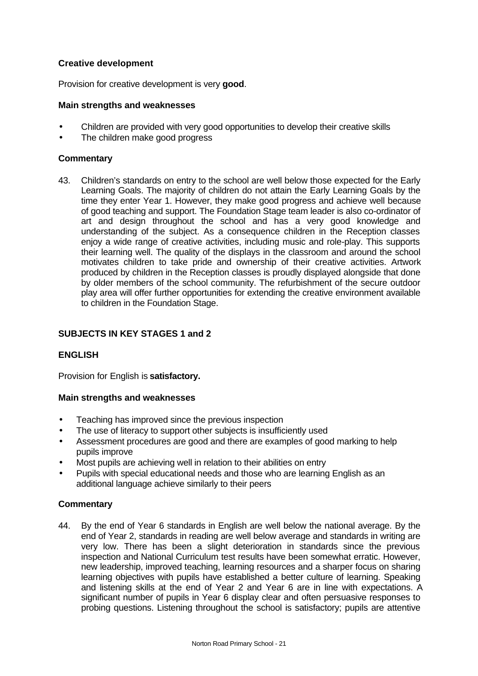## **Creative development**

Provision for creative development is very **good**.

#### **Main strengths and weaknesses**

- Children are provided with very good opportunities to develop their creative skills
- The children make good progress

## **Commentary**

43. Children's standards on entry to the school are well below those expected for the Early Learning Goals. The majority of children do not attain the Early Learning Goals by the time they enter Year 1. However, they make good progress and achieve well because of good teaching and support. The Foundation Stage team leader is also co-ordinator of art and design throughout the school and has a very good knowledge and understanding of the subject. As a consequence children in the Reception classes enjoy a wide range of creative activities, including music and role-play. This supports their learning well. The quality of the displays in the classroom and around the school motivates children to take pride and ownership of their creative activities. Artwork produced by children in the Reception classes is proudly displayed alongside that done by older members of the school community. The refurbishment of the secure outdoor play area will offer further opportunities for extending the creative environment available to children in the Foundation Stage.

## **SUBJECTS IN KEY STAGES 1 and 2**

## **ENGLISH**

Provision for English is **satisfactory.**

#### **Main strengths and weaknesses**

- Teaching has improved since the previous inspection
- The use of literacy to support other subjects is insufficiently used
- Assessment procedures are good and there are examples of good marking to help pupils improve
- Most pupils are achieving well in relation to their abilities on entry
- Pupils with special educational needs and those who are learning English as an additional language achieve similarly to their peers

#### **Commentary**

44. By the end of Year 6 standards in English are well below the national average. By the end of Year 2, standards in reading are well below average and standards in writing are very low. There has been a slight deterioration in standards since the previous inspection and National Curriculum test results have been somewhat erratic. However, new leadership, improved teaching, learning resources and a sharper focus on sharing learning objectives with pupils have established a better culture of learning. Speaking and listening skills at the end of Year 2 and Year 6 are in line with expectations. A significant number of pupils in Year 6 display clear and often persuasive responses to probing questions. Listening throughout the school is satisfactory; pupils are attentive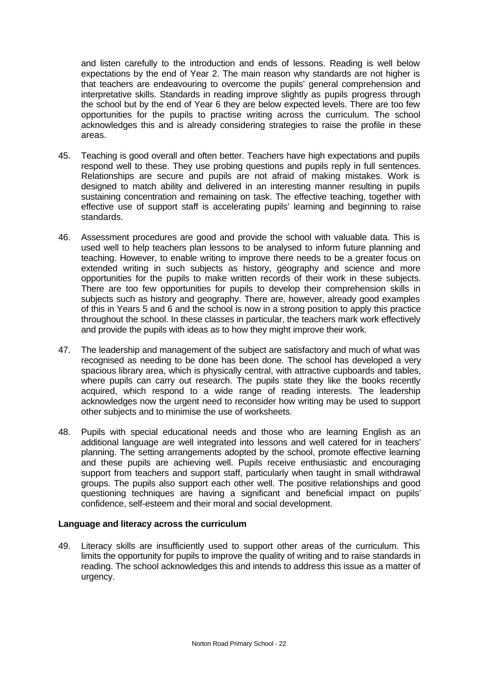and listen carefully to the introduction and ends of lessons. Reading is well below expectations by the end of Year 2. The main reason why standards are not higher is that teachers are endeavouring to overcome the pupils' general comprehension and interpretative skills. Standards in reading improve slightly as pupils progress through the school but by the end of Year 6 they are below expected levels. There are too few opportunities for the pupils to practise writing across the curriculum. The school acknowledges this and is already considering strategies to raise the profile in these areas.

- 45. Teaching is good overall and often better. Teachers have high expectations and pupils respond well to these. They use probing questions and pupils reply in full sentences. Relationships are secure and pupils are not afraid of making mistakes. Work is designed to match ability and delivered in an interesting manner resulting in pupils sustaining concentration and remaining on task. The effective teaching, together with effective use of support staff is accelerating pupils' learning and beginning to raise standards.
- 46. Assessment procedures are good and provide the school with valuable data. This is used well to help teachers plan lessons to be analysed to inform future planning and teaching. However, to enable writing to improve there needs to be a greater focus on extended writing in such subjects as history, geography and science and more opportunities for the pupils to make written records of their work in these subjects. There are too few opportunities for pupils to develop their comprehension skills in subjects such as history and geography. There are, however, already good examples of this in Years 5 and 6 and the school is now in a strong position to apply this practice throughout the school. In these classes in particular, the teachers mark work effectively and provide the pupils with ideas as to how they might improve their work.
- 47. The leadership and management of the subject are satisfactory and much of what was recognised as needing to be done has been done. The school has developed a very spacious library area, which is physically central, with attractive cupboards and tables, where pupils can carry out research. The pupils state they like the books recently acquired, which respond to a wide range of reading interests. The leadership acknowledges now the urgent need to reconsider how writing may be used to support other subjects and to minimise the use of worksheets.
- 48. Pupils with special educational needs and those who are learning English as an additional language are well integrated into lessons and well catered for in teachers' planning. The setting arrangements adopted by the school, promote effective learning and these pupils are achieving well. Pupils receive enthusiastic and encouraging support from teachers and support staff, particularly when taught in small withdrawal groups. The pupils also support each other well. The positive relationships and good questioning techniques are having a significant and beneficial impact on pupils' confidence, self-esteem and their moral and social development.

#### **Language and literacy across the curriculum**

49. Literacy skills are insufficiently used to support other areas of the curriculum. This limits the opportunity for pupils to improve the quality of writing and to raise standards in reading. The school acknowledges this and intends to address this issue as a matter of urgency.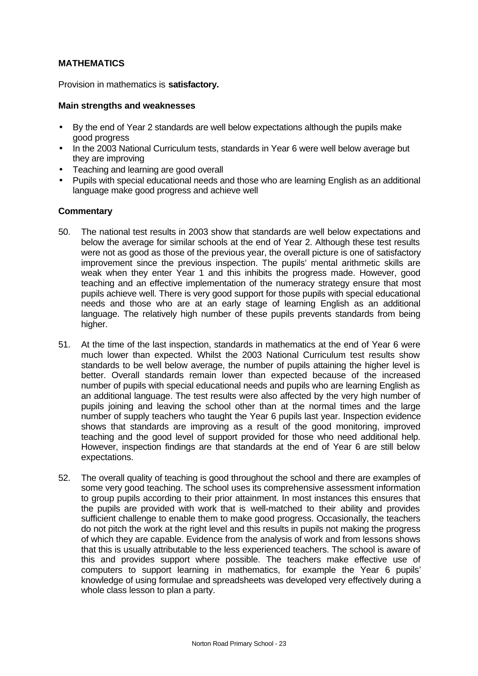## **MATHEMATICS**

Provision in mathematics is **satisfactory.**

#### **Main strengths and weaknesses**

- By the end of Year 2 standards are well below expectations although the pupils make good progress
- In the 2003 National Curriculum tests, standards in Year 6 were well below average but they are improving
- Teaching and learning are good overall
- Pupils with special educational needs and those who are learning English as an additional language make good progress and achieve well

- 50. The national test results in 2003 show that standards are well below expectations and below the average for similar schools at the end of Year 2. Although these test results were not as good as those of the previous year, the overall picture is one of satisfactory improvement since the previous inspection. The pupils' mental arithmetic skills are weak when they enter Year 1 and this inhibits the progress made. However, good teaching and an effective implementation of the numeracy strategy ensure that most pupils achieve well. There is very good support for those pupils with special educational needs and those who are at an early stage of learning English as an additional language. The relatively high number of these pupils prevents standards from being higher.
- 51. At the time of the last inspection, standards in mathematics at the end of Year 6 were much lower than expected. Whilst the 2003 National Curriculum test results show standards to be well below average, the number of pupils attaining the higher level is better. Overall standards remain lower than expected because of the increased number of pupils with special educational needs and pupils who are learning English as an additional language. The test results were also affected by the very high number of pupils joining and leaving the school other than at the normal times and the large number of supply teachers who taught the Year 6 pupils last year. Inspection evidence shows that standards are improving as a result of the good monitoring, improved teaching and the good level of support provided for those who need additional help. However, inspection findings are that standards at the end of Year 6 are still below expectations.
- 52. The overall quality of teaching is good throughout the school and there are examples of some very good teaching. The school uses its comprehensive assessment information to group pupils according to their prior attainment. In most instances this ensures that the pupils are provided with work that is well-matched to their ability and provides sufficient challenge to enable them to make good progress. Occasionally, the teachers do not pitch the work at the right level and this results in pupils not making the progress of which they are capable. Evidence from the analysis of work and from lessons shows that this is usually attributable to the less experienced teachers. The school is aware of this and provides support where possible. The teachers make effective use of computers to support learning in mathematics, for example the Year 6 pupils' knowledge of using formulae and spreadsheets was developed very effectively during a whole class lesson to plan a party.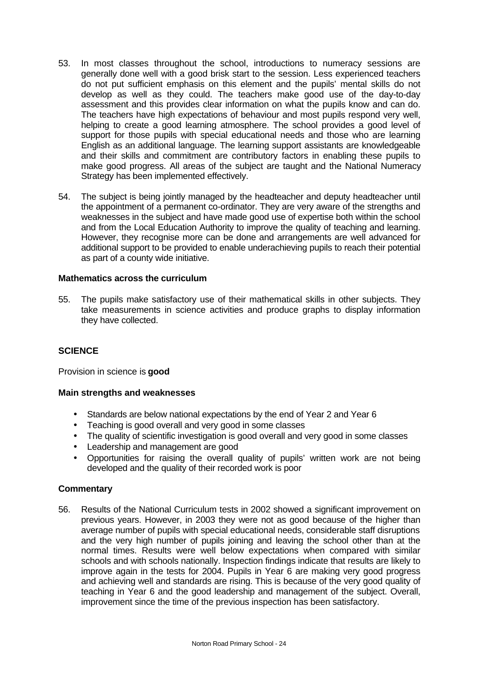- 53. In most classes throughout the school, introductions to numeracy sessions are generally done well with a good brisk start to the session. Less experienced teachers do not put sufficient emphasis on this element and the pupils' mental skills do not develop as well as they could. The teachers make good use of the day-to-day assessment and this provides clear information on what the pupils know and can do. The teachers have high expectations of behaviour and most pupils respond very well, helping to create a good learning atmosphere. The school provides a good level of support for those pupils with special educational needs and those who are learning English as an additional language. The learning support assistants are knowledgeable and their skills and commitment are contributory factors in enabling these pupils to make good progress. All areas of the subject are taught and the National Numeracy Strategy has been implemented effectively.
- 54. The subject is being jointly managed by the headteacher and deputy headteacher until the appointment of a permanent co-ordinator. They are very aware of the strengths and weaknesses in the subject and have made good use of expertise both within the school and from the Local Education Authority to improve the quality of teaching and learning. However, they recognise more can be done and arrangements are well advanced for additional support to be provided to enable underachieving pupils to reach their potential as part of a county wide initiative.

## **Mathematics across the curriculum**

55. The pupils make satisfactory use of their mathematical skills in other subjects. They take measurements in science activities and produce graphs to display information they have collected.

## **SCIENCE**

Provision in science is **good**

#### **Main strengths and weaknesses**

- Standards are below national expectations by the end of Year 2 and Year 6
- Teaching is good overall and very good in some classes
- The quality of scientific investigation is good overall and very good in some classes
- Leadership and management are good
- Opportunities for raising the overall quality of pupils' written work are not being developed and the quality of their recorded work is poor

## **Commentary**

56. Results of the National Curriculum tests in 2002 showed a significant improvement on previous years. However, in 2003 they were not as good because of the higher than average number of pupils with special educational needs, considerable staff disruptions and the very high number of pupils joining and leaving the school other than at the normal times. Results were well below expectations when compared with similar schools and with schools nationally. Inspection findings indicate that results are likely to improve again in the tests for 2004. Pupils in Year 6 are making very good progress and achieving well and standards are rising. This is because of the very good quality of teaching in Year 6 and the good leadership and management of the subject. Overall, improvement since the time of the previous inspection has been satisfactory.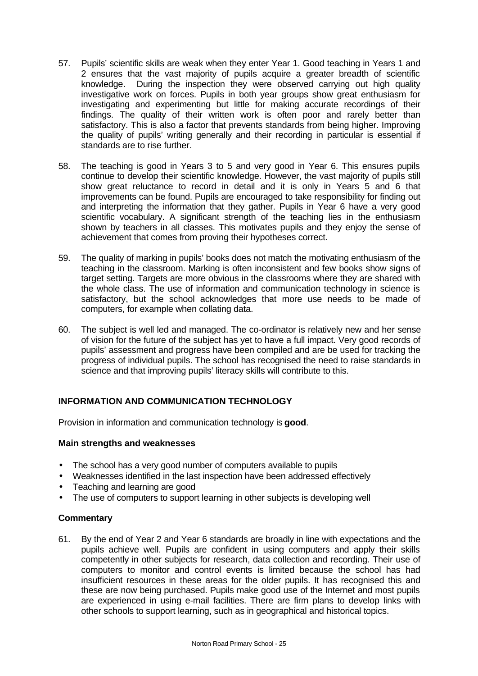- 57. Pupils' scientific skills are weak when they enter Year 1. Good teaching in Years 1 and 2 ensures that the vast majority of pupils acquire a greater breadth of scientific knowledge. During the inspection they were observed carrying out high quality investigative work on forces. Pupils in both year groups show great enthusiasm for investigating and experimenting but little for making accurate recordings of their findings. The quality of their written work is often poor and rarely better than satisfactory. This is also a factor that prevents standards from being higher. Improving the quality of pupils' writing generally and their recording in particular is essential if standards are to rise further.
- 58. The teaching is good in Years 3 to 5 and very good in Year 6. This ensures pupils continue to develop their scientific knowledge. However, the vast majority of pupils still show great reluctance to record in detail and it is only in Years 5 and 6 that improvements can be found. Pupils are encouraged to take responsibility for finding out and interpreting the information that they gather. Pupils in Year 6 have a very good scientific vocabulary. A significant strength of the teaching lies in the enthusiasm shown by teachers in all classes. This motivates pupils and they enjoy the sense of achievement that comes from proving their hypotheses correct.
- 59. The quality of marking in pupils' books does not match the motivating enthusiasm of the teaching in the classroom. Marking is often inconsistent and few books show signs of target setting. Targets are more obvious in the classrooms where they are shared with the whole class. The use of information and communication technology in science is satisfactory, but the school acknowledges that more use needs to be made of computers, for example when collating data.
- 60. The subject is well led and managed. The co-ordinator is relatively new and her sense of vision for the future of the subject has yet to have a full impact. Very good records of pupils' assessment and progress have been compiled and are be used for tracking the progress of individual pupils. The school has recognised the need to raise standards in science and that improving pupils' literacy skills will contribute to this.

## **INFORMATION AND COMMUNICATION TECHNOLOGY**

Provision in information and communication technology is **good**.

## **Main strengths and weaknesses**

- The school has a very good number of computers available to pupils
- Weaknesses identified in the last inspection have been addressed effectively
- Teaching and learning are good
- The use of computers to support learning in other subjects is developing well

## **Commentary**

61. By the end of Year 2 and Year 6 standards are broadly in line with expectations and the pupils achieve well. Pupils are confident in using computers and apply their skills competently in other subjects for research, data collection and recording. Their use of computers to monitor and control events is limited because the school has had insufficient resources in these areas for the older pupils. It has recognised this and these are now being purchased. Pupils make good use of the Internet and most pupils are experienced in using e-mail facilities. There are firm plans to develop links with other schools to support learning, such as in geographical and historical topics.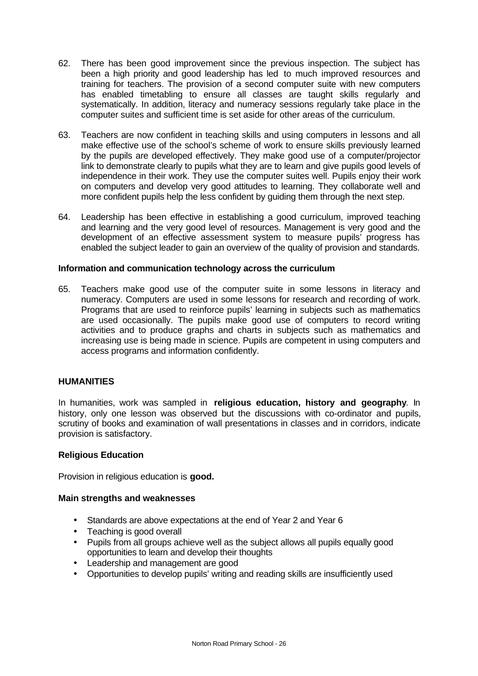- 62. There has been good improvement since the previous inspection. The subject has been a high priority and good leadership has led to much improved resources and training for teachers. The provision of a second computer suite with new computers has enabled timetabling to ensure all classes are taught skills regularly and systematically. In addition, literacy and numeracy sessions regularly take place in the computer suites and sufficient time is set aside for other areas of the curriculum.
- 63. Teachers are now confident in teaching skills and using computers in lessons and all make effective use of the school's scheme of work to ensure skills previously learned by the pupils are developed effectively. They make good use of a computer/projector link to demonstrate clearly to pupils what they are to learn and give pupils good levels of independence in their work. They use the computer suites well. Pupils enjoy their work on computers and develop very good attitudes to learning. They collaborate well and more confident pupils help the less confident by guiding them through the next step.
- 64. Leadership has been effective in establishing a good curriculum, improved teaching and learning and the very good level of resources. Management is very good and the development of an effective assessment system to measure pupils' progress has enabled the subject leader to gain an overview of the quality of provision and standards.

#### **Information and communication technology across the curriculum**

65. Teachers make good use of the computer suite in some lessons in literacy and numeracy. Computers are used in some lessons for research and recording of work. Programs that are used to reinforce pupils' learning in subjects such as mathematics are used occasionally. The pupils make good use of computers to record writing activities and to produce graphs and charts in subjects such as mathematics and increasing use is being made in science. Pupils are competent in using computers and access programs and information confidently.

#### **HUMANITIES**

In humanities, work was sampled in **religious education, history and geography**. In history, only one lesson was observed but the discussions with co-ordinator and pupils, scrutiny of books and examination of wall presentations in classes and in corridors, indicate provision is satisfactory.

#### **Religious Education**

Provision in religious education is **good.**

#### **Main strengths and weaknesses**

- Standards are above expectations at the end of Year 2 and Year 6
- Teaching is good overall
- Pupils from all groups achieve well as the subject allows all pupils equally good opportunities to learn and develop their thoughts
- Leadership and management are good
- Opportunities to develop pupils' writing and reading skills are insufficiently used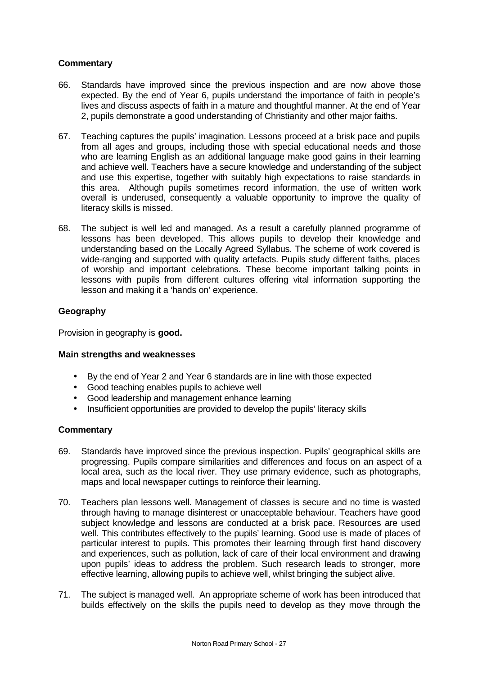## **Commentary**

- 66. Standards have improved since the previous inspection and are now above those expected. By the end of Year 6, pupils understand the importance of faith in people's lives and discuss aspects of faith in a mature and thoughtful manner. At the end of Year 2, pupils demonstrate a good understanding of Christianity and other major faiths.
- 67. Teaching captures the pupils' imagination. Lessons proceed at a brisk pace and pupils from all ages and groups, including those with special educational needs and those who are learning English as an additional language make good gains in their learning and achieve well. Teachers have a secure knowledge and understanding of the subject and use this expertise, together with suitably high expectations to raise standards in this area. Although pupils sometimes record information, the use of written work overall is underused, consequently a valuable opportunity to improve the quality of literacy skills is missed.
- 68. The subject is well led and managed. As a result a carefully planned programme of lessons has been developed. This allows pupils to develop their knowledge and understanding based on the Locally Agreed Syllabus. The scheme of work covered is wide-ranging and supported with quality artefacts. Pupils study different faiths, places of worship and important celebrations. These become important talking points in lessons with pupils from different cultures offering vital information supporting the lesson and making it a 'hands on' experience.

## **Geography**

Provision in geography is **good.**

## **Main strengths and weaknesses**

- By the end of Year 2 and Year 6 standards are in line with those expected
- Good teaching enables pupils to achieve well
- Good leadership and management enhance learning
- Insufficient opportunities are provided to develop the pupils' literacy skills

- 69. Standards have improved since the previous inspection. Pupils' geographical skills are progressing. Pupils compare similarities and differences and focus on an aspect of a local area, such as the local river. They use primary evidence, such as photographs, maps and local newspaper cuttings to reinforce their learning.
- 70. Teachers plan lessons well. Management of classes is secure and no time is wasted through having to manage disinterest or unacceptable behaviour. Teachers have good subject knowledge and lessons are conducted at a brisk pace. Resources are used well. This contributes effectively to the pupils' learning. Good use is made of places of particular interest to pupils. This promotes their learning through first hand discovery and experiences, such as pollution, lack of care of their local environment and drawing upon pupils' ideas to address the problem. Such research leads to stronger, more effective learning, allowing pupils to achieve well, whilst bringing the subject alive.
- 71. The subject is managed well. An appropriate scheme of work has been introduced that builds effectively on the skills the pupils need to develop as they move through the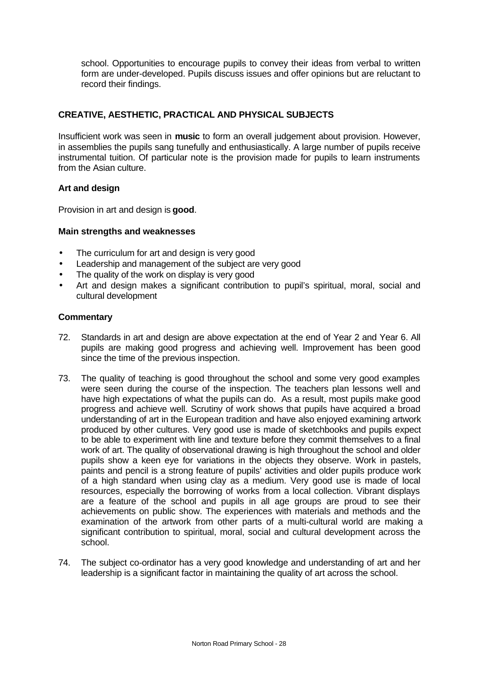school. Opportunities to encourage pupils to convey their ideas from verbal to written form are under-developed. Pupils discuss issues and offer opinions but are reluctant to record their findings.

## **CREATIVE, AESTHETIC, PRACTICAL AND PHYSICAL SUBJECTS**

Insufficient work was seen in **music** to form an overall judgement about provision. However, in assemblies the pupils sang tunefully and enthusiastically. A large number of pupils receive instrumental tuition. Of particular note is the provision made for pupils to learn instruments from the Asian culture.

#### **Art and design**

Provision in art and design is **good**.

#### **Main strengths and weaknesses**

- The curriculum for art and design is very good
- Leadership and management of the subject are very good
- The quality of the work on display is very good
- Art and design makes a significant contribution to pupil's spiritual, moral, social and cultural development

- 72. Standards in art and design are above expectation at the end of Year 2 and Year 6. All pupils are making good progress and achieving well. Improvement has been good since the time of the previous inspection.
- 73. The quality of teaching is good throughout the school and some very good examples were seen during the course of the inspection. The teachers plan lessons well and have high expectations of what the pupils can do. As a result, most pupils make good progress and achieve well. Scrutiny of work shows that pupils have acquired a broad understanding of art in the European tradition and have also enjoyed examining artwork produced by other cultures. Very good use is made of sketchbooks and pupils expect to be able to experiment with line and texture before they commit themselves to a final work of art. The quality of observational drawing is high throughout the school and older pupils show a keen eye for variations in the objects they observe. Work in pastels, paints and pencil is a strong feature of pupils' activities and older pupils produce work of a high standard when using clay as a medium. Very good use is made of local resources, especially the borrowing of works from a local collection. Vibrant displays are a feature of the school and pupils in all age groups are proud to see their achievements on public show. The experiences with materials and methods and the examination of the artwork from other parts of a multi-cultural world are making a significant contribution to spiritual, moral, social and cultural development across the school.
- 74. The subject co-ordinator has a very good knowledge and understanding of art and her leadership is a significant factor in maintaining the quality of art across the school.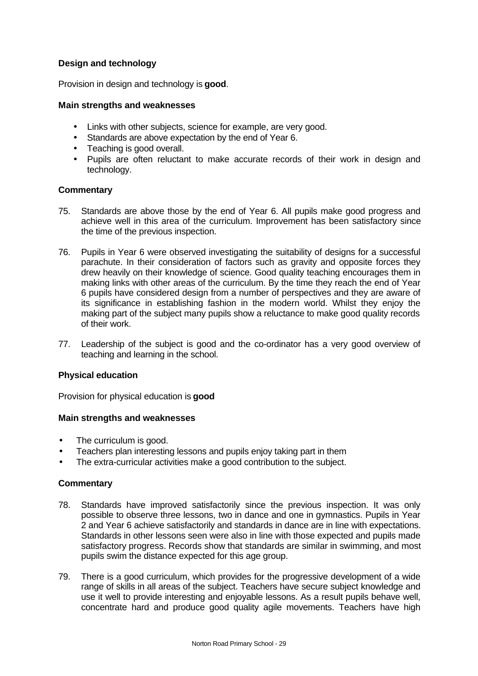## **Design and technology**

Provision in design and technology is **good**.

#### **Main strengths and weaknesses**

- Links with other subjects, science for example, are very good.
- Standards are above expectation by the end of Year 6.
- Teaching is good overall.
- Pupils are often reluctant to make accurate records of their work in design and technology.

#### **Commentary**

- 75. Standards are above those by the end of Year 6. All pupils make good progress and achieve well in this area of the curriculum. Improvement has been satisfactory since the time of the previous inspection.
- 76. Pupils in Year 6 were observed investigating the suitability of designs for a successful parachute. In their consideration of factors such as gravity and opposite forces they drew heavily on their knowledge of science. Good quality teaching encourages them in making links with other areas of the curriculum. By the time they reach the end of Year 6 pupils have considered design from a number of perspectives and they are aware of its significance in establishing fashion in the modern world. Whilst they enjoy the making part of the subject many pupils show a reluctance to make good quality records of their work.
- 77. Leadership of the subject is good and the co-ordinator has a very good overview of teaching and learning in the school.

#### **Physical education**

Provision for physical education is **good**

## **Main strengths and weaknesses**

- The curriculum is good.
- Teachers plan interesting lessons and pupils enjoy taking part in them
- The extra-curricular activities make a good contribution to the subject.

- 78. Standards have improved satisfactorily since the previous inspection. It was only possible to observe three lessons, two in dance and one in gymnastics. Pupils in Year 2 and Year 6 achieve satisfactorily and standards in dance are in line with expectations. Standards in other lessons seen were also in line with those expected and pupils made satisfactory progress. Records show that standards are similar in swimming, and most pupils swim the distance expected for this age group.
- 79. There is a good curriculum, which provides for the progressive development of a wide range of skills in all areas of the subject. Teachers have secure subject knowledge and use it well to provide interesting and enjoyable lessons. As a result pupils behave well, concentrate hard and produce good quality agile movements. Teachers have high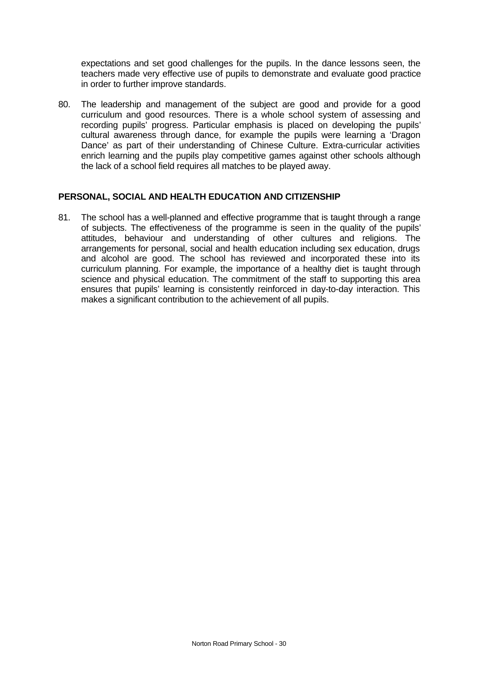expectations and set good challenges for the pupils. In the dance lessons seen, the teachers made very effective use of pupils to demonstrate and evaluate good practice in order to further improve standards.

80. The leadership and management of the subject are good and provide for a good curriculum and good resources. There is a whole school system of assessing and recording pupils' progress. Particular emphasis is placed on developing the pupils' cultural awareness through dance, for example the pupils were learning a 'Dragon Dance' as part of their understanding of Chinese Culture. Extra-curricular activities enrich learning and the pupils play competitive games against other schools although the lack of a school field requires all matches to be played away.

## **PERSONAL, SOCIAL AND HEALTH EDUCATION AND CITIZENSHIP**

81. The school has a well-planned and effective programme that is taught through a range of subjects. The effectiveness of the programme is seen in the quality of the pupils' attitudes, behaviour and understanding of other cultures and religions. The arrangements for personal, social and health education including sex education, drugs and alcohol are good. The school has reviewed and incorporated these into its curriculum planning. For example, the importance of a healthy diet is taught through science and physical education. The commitment of the staff to supporting this area ensures that pupils' learning is consistently reinforced in day-to-day interaction. This makes a significant contribution to the achievement of all pupils.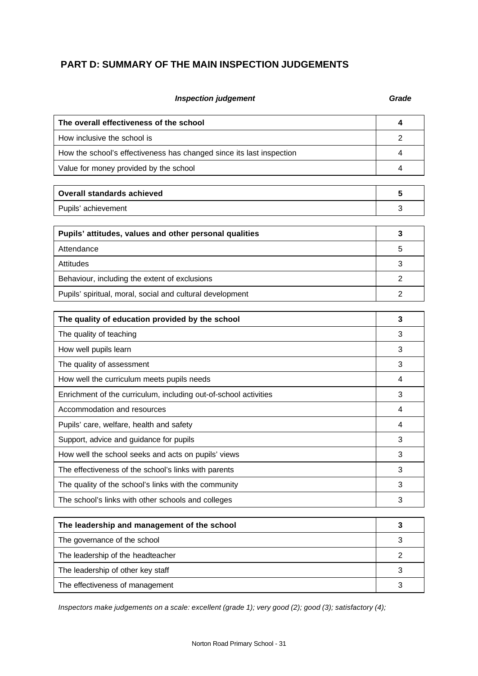## **PART D: SUMMARY OF THE MAIN INSPECTION JUDGEMENTS**

#### **Inspection judgement Grade**

| The overall effectiveness of the school                              | 4              |
|----------------------------------------------------------------------|----------------|
| How inclusive the school is                                          | 2              |
| How the school's effectiveness has changed since its last inspection | 4              |
| Value for money provided by the school                               | 4              |
|                                                                      |                |
| <b>Overall standards achieved</b>                                    | 5              |
| Pupils' achievement                                                  | 3              |
| Pupils' attitudes, values and other personal qualities               | $\mathbf{3}$   |
| Attendance                                                           | 5              |
| <b>Attitudes</b>                                                     | 3              |
|                                                                      |                |
| Behaviour, including the extent of exclusions                        | $\overline{2}$ |
| Pupils' spiritual, moral, social and cultural development            | $\overline{2}$ |
| The quality of education provided by the school                      | 3              |
| The quality of teaching                                              | 3              |
| How well pupils learn                                                | 3              |
| The quality of assessment                                            | 3              |
| How well the curriculum meets pupils needs                           | 4              |
| Enrichment of the curriculum, including out-of-school activities     | 3              |
| Accommodation and resources                                          | 4              |
| Pupils' care, welfare, health and safety                             | 4              |
| Support, advice and guidance for pupils                              | 3              |
| How well the school seeks and acts on pupils' views                  | 3              |
| The effectiveness of the school's links with parents                 | 3              |
| The quality of the school's links with the community                 | 3              |
| The school's links with other schools and colleges                   | 3              |
|                                                                      |                |
| The leadership and management of the school                          | 3              |
| The governance of the school                                         | 3              |
| The leadership of the headteacher                                    | $\overline{c}$ |

*Inspectors make judgements on a scale: excellent (grade 1); very good (2); good (3); satisfactory (4);*

The leadership of other key staff 3 The effectiveness of management 3